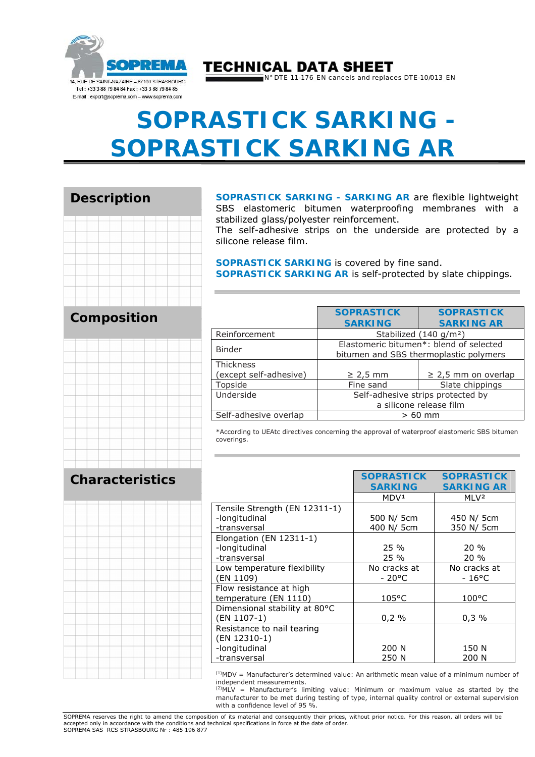

### **TECHNICAL DATA SHEET**

N° DTE 11-176\_EN cancels and replaces DTE-10/013\_EN

# **SOPRASTICK SARKING - SOPRASTICK SARKING AR**

#### **Description**



#### **Composition**



**Characteristics** 

#### **SOPRASTICK SARKING - SARKING AR** are flexible lightweight SBS elastomeric bitumen waterproofing membranes with a stabilized glass/polyester reinforcement.

The self-adhesive strips on the underside are protected by a silicone release film.

**SOPRASTICK SARKING** is covered by fine sand. **SOPRASTICK SARKING AR** is self-protected by slate chippings.

|                        | <b>SOPRASTICK</b>                                                                 | <b>SOPRASTICK</b>        |  |
|------------------------|-----------------------------------------------------------------------------------|--------------------------|--|
|                        | <b>SARKING</b>                                                                    | <b>SARKING AR</b>        |  |
| Reinforcement          | Stabilized (140 g/m <sup>2</sup> )                                                |                          |  |
| <b>Binder</b>          | Elastomeric bitumen*: blend of selected<br>bitumen and SBS thermoplastic polymers |                          |  |
| <b>Thickness</b>       |                                                                                   |                          |  |
| (except self-adhesive) | $\geq$ 2,5 mm                                                                     | $\geq$ 2,5 mm on overlap |  |
| Topside                | Fine sand                                                                         | Slate chippings          |  |
| Underside              | Self-adhesive strips protected by                                                 |                          |  |
|                        | a silicone release film                                                           |                          |  |
| Self-adhesive overlap  | $>60$ mm                                                                          |                          |  |

\*According to UEAtc directives concerning the approval of waterproof elastomeric SBS bitumen coverings.

|                               | <b>SOPRASTICK</b> | <b>SOPRASTICK</b> |
|-------------------------------|-------------------|-------------------|
|                               | <b>SARKING</b>    | <b>SARKING AR</b> |
|                               | MDV <sup>1</sup>  | MI V <sup>2</sup> |
| Tensile Strength (EN 12311-1) |                   |                   |
| -longitudinal                 | 500 N/ 5cm        | 450 N/ 5cm        |
| -transversal                  | 400 N/ 5cm        | 350 N/ 5cm        |
| Elongation (EN $12311-1$ )    |                   |                   |
| -longitudinal                 | $25\%$            | $20\%$            |
| -transversal                  | 25 %              | $20\%$            |
| Low temperature flexibility   | No cracks at      | No cracks at      |
| (EN 1109)                     | $-20^{\circ}$ C   | $-16^{\circ}$ C   |
| Flow resistance at high       |                   |                   |
| temperature (EN 1110)         | $105^{\circ}$ C   | $100^{\circ}$ C   |
| Dimensional stability at 80°C |                   |                   |
| (EN 1107-1)                   | 0,2%              | 0,3%              |
| Resistance to nail tearing    |                   |                   |
| (EN 12310-1)                  |                   |                   |
| -longitudinal                 | 200 N             | 150 N             |
| -transversal                  | 250 N             | 200 N             |

 $<sup>(1)</sup>MDV =$  Manufacturer's determined value: An arithmetic mean value of a minimum number of</sup> independent measurements.

(2)MLV = Manufacturer's limiting value: Minimum or maximum value as started by the manufacturer to be met during testing of type, internal quality control or external supervision with a confidence level of 95 %.

SOPREMA reserves the right to amend the composition of its material and consequently their prices, without prior notice. For this reason, all orders will be accepted only in accordance with the conditions and technical specifications in force at the date of order. SOPREMA SAS RCS STRASBOURG Nr : 485 196 877